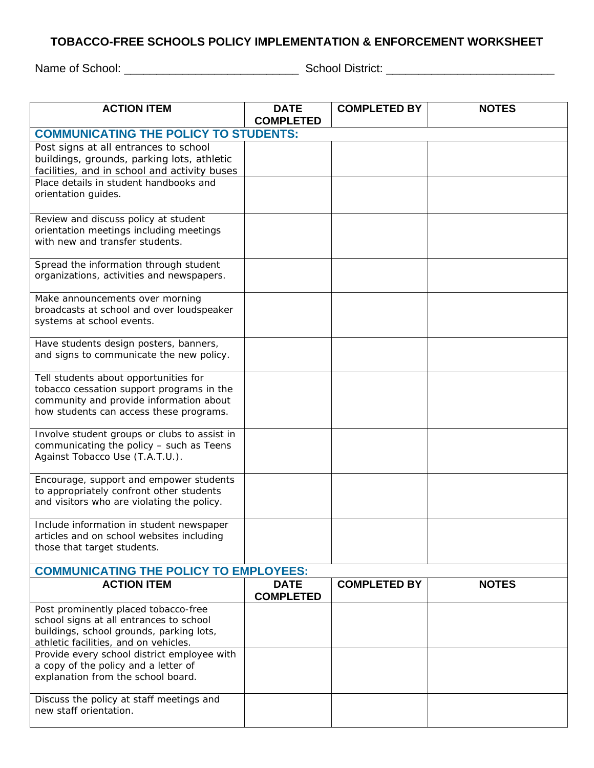## **TOBACCO-FREE SCHOOLS POLICY IMPLEMENTATION & ENFORCEMENT WORKSHEET**

Name of School: \_\_\_\_\_\_\_\_\_\_\_\_\_\_\_\_\_\_\_\_\_\_\_\_\_\_\_ School District: \_\_\_\_\_\_\_\_\_\_\_\_\_\_\_\_\_\_\_\_\_\_\_\_\_\_

| <b>ACTION ITEM</b>                                                                | <b>DATE</b><br><b>COMPLETED</b> | <b>COMPLETED BY</b> | <b>NOTES</b> |  |  |  |
|-----------------------------------------------------------------------------------|---------------------------------|---------------------|--------------|--|--|--|
| <b>COMMUNICATING THE POLICY TO STUDENTS:</b>                                      |                                 |                     |              |  |  |  |
| Post signs at all entrances to school                                             |                                 |                     |              |  |  |  |
| buildings, grounds, parking lots, athletic                                        |                                 |                     |              |  |  |  |
| facilities, and in school and activity buses                                      |                                 |                     |              |  |  |  |
| Place details in student handbooks and<br>orientation guides.                     |                                 |                     |              |  |  |  |
|                                                                                   |                                 |                     |              |  |  |  |
| Review and discuss policy at student                                              |                                 |                     |              |  |  |  |
| orientation meetings including meetings                                           |                                 |                     |              |  |  |  |
| with new and transfer students.                                                   |                                 |                     |              |  |  |  |
| Spread the information through student                                            |                                 |                     |              |  |  |  |
| organizations, activities and newspapers.                                         |                                 |                     |              |  |  |  |
| Make announcements over morning                                                   |                                 |                     |              |  |  |  |
| broadcasts at school and over loudspeaker                                         |                                 |                     |              |  |  |  |
| systems at school events.                                                         |                                 |                     |              |  |  |  |
| Have students design posters, banners,                                            |                                 |                     |              |  |  |  |
| and signs to communicate the new policy.                                          |                                 |                     |              |  |  |  |
| Tell students about opportunities for                                             |                                 |                     |              |  |  |  |
| tobacco cessation support programs in the                                         |                                 |                     |              |  |  |  |
| community and provide information about                                           |                                 |                     |              |  |  |  |
| how students can access these programs.                                           |                                 |                     |              |  |  |  |
| Involve student groups or clubs to assist in                                      |                                 |                     |              |  |  |  |
| communicating the policy - such as Teens                                          |                                 |                     |              |  |  |  |
| Against Tobacco Use (T.A.T.U.).                                                   |                                 |                     |              |  |  |  |
| Encourage, support and empower students                                           |                                 |                     |              |  |  |  |
| to appropriately confront other students                                          |                                 |                     |              |  |  |  |
| and visitors who are violating the policy.                                        |                                 |                     |              |  |  |  |
| Include information in student newspaper                                          |                                 |                     |              |  |  |  |
| articles and on school websites including                                         |                                 |                     |              |  |  |  |
| those that target students.                                                       |                                 |                     |              |  |  |  |
| <b>COMMUNICATING THE POLICY TO EMPLOYEES:</b>                                     |                                 |                     |              |  |  |  |
| <b>ACTION ITEM</b>                                                                | <b>DATE</b><br><b>COMPLETED</b> | <b>COMPLETED BY</b> | <b>NOTES</b> |  |  |  |
| Post prominently placed tobacco-free                                              |                                 |                     |              |  |  |  |
| school signs at all entrances to school                                           |                                 |                     |              |  |  |  |
| buildings, school grounds, parking lots,<br>athletic facilities, and on vehicles. |                                 |                     |              |  |  |  |
| Provide every school district employee with                                       |                                 |                     |              |  |  |  |
| a copy of the policy and a letter of                                              |                                 |                     |              |  |  |  |
| explanation from the school board.                                                |                                 |                     |              |  |  |  |
| Discuss the policy at staff meetings and                                          |                                 |                     |              |  |  |  |
| new staff orientation.                                                            |                                 |                     |              |  |  |  |
|                                                                                   |                                 |                     |              |  |  |  |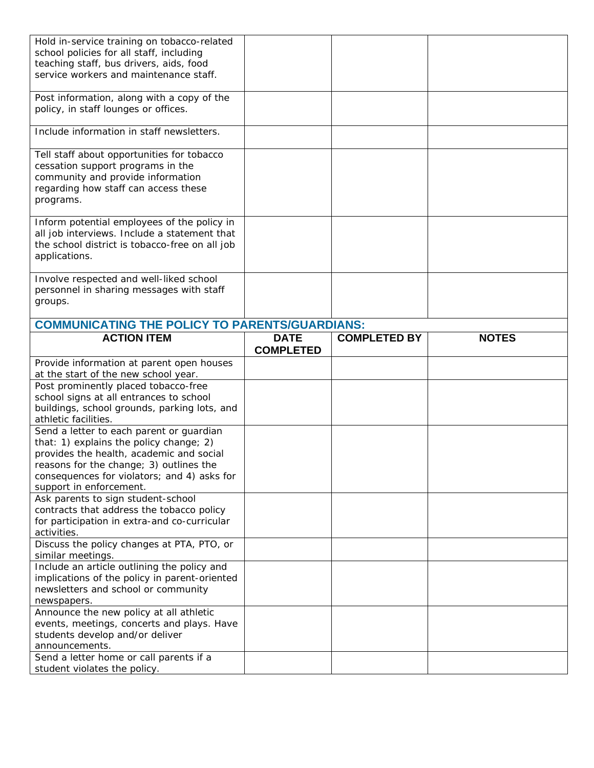| Hold in-service training on tobacco-related<br>school policies for all staff, including<br>teaching staff, bus drivers, aids, food<br>service workers and maintenance staff.                                                                         |                                 |                     |              |
|------------------------------------------------------------------------------------------------------------------------------------------------------------------------------------------------------------------------------------------------------|---------------------------------|---------------------|--------------|
| Post information, along with a copy of the<br>policy, in staff lounges or offices.                                                                                                                                                                   |                                 |                     |              |
| Include information in staff newsletters.                                                                                                                                                                                                            |                                 |                     |              |
| Tell staff about opportunities for tobacco<br>cessation support programs in the<br>community and provide information<br>regarding how staff can access these<br>programs.                                                                            |                                 |                     |              |
| Inform potential employees of the policy in<br>all job interviews. Include a statement that<br>the school district is tobacco-free on all job<br>applications.                                                                                       |                                 |                     |              |
| Involve respected and well-liked school<br>personnel in sharing messages with staff<br>groups.                                                                                                                                                       |                                 |                     |              |
| <b>COMMUNICATING THE POLICY TO PARENTS/GUARDIANS:</b>                                                                                                                                                                                                |                                 |                     |              |
| <b>ACTION ITEM</b>                                                                                                                                                                                                                                   | <b>DATE</b><br><b>COMPLETED</b> | <b>COMPLETED BY</b> | <b>NOTES</b> |
|                                                                                                                                                                                                                                                      |                                 |                     |              |
| Provide information at parent open houses<br>at the start of the new school year.                                                                                                                                                                    |                                 |                     |              |
| Post prominently placed tobacco-free<br>school signs at all entrances to school<br>buildings, school grounds, parking lots, and<br>athletic facilities.                                                                                              |                                 |                     |              |
| Send a letter to each parent or guardian<br>that: 1) explains the policy change; 2)<br>provides the health, academic and social<br>reasons for the change; 3) outlines the<br>consequences for violators; and 4) asks for<br>support in enforcement. |                                 |                     |              |
| Ask parents to sign student-school<br>contracts that address the tobacco policy<br>for participation in extra-and co-curricular<br>activities.                                                                                                       |                                 |                     |              |
| Discuss the policy changes at PTA, PTO, or<br>similar meetings.                                                                                                                                                                                      |                                 |                     |              |
| Include an article outlining the policy and<br>implications of the policy in parent-oriented<br>newsletters and school or community<br>newspapers.                                                                                                   |                                 |                     |              |
| Announce the new policy at all athletic<br>events, meetings, concerts and plays. Have<br>students develop and/or deliver<br>announcements.<br>Send a letter home or call parents if a                                                                |                                 |                     |              |